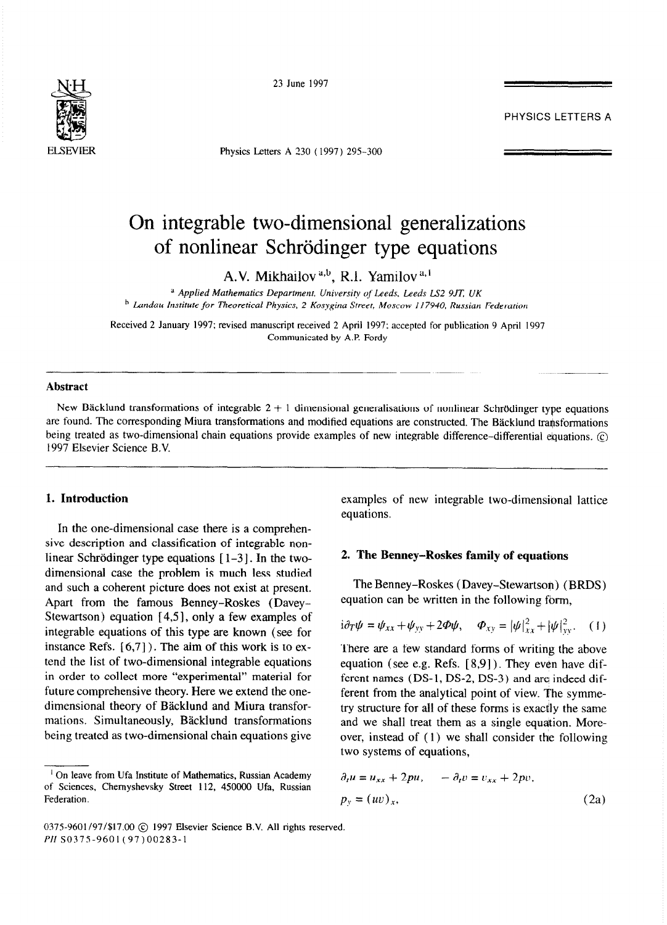

23 June 1997

Physics Letters A 230 ( 1997) 295-300

# PHYSICS LETTERS A

# On integrable two-dimensional generalizations of nonlinear Schrödinger type equations

A.V. Mikhailov<sup>a,b</sup>, R.I. Yamilov<sup>a,1</sup>

<sup>a</sup> Applied Mathematics Department. University of Leeds, Leeds LS2 9JT, UK *h Landau Institute for Theoretical Physics, 2 Kosygina Street, Moscow I f7940, Russian Federation* 

Received 2 January 1997; revised manuscript received 2 April 1997; accepted for publication 9 April 1997 Communicated by A.P. Fordy

### **Abstract**

New Bäcklund transformations of integrable  $2 + 1$  dimensional generalisations of nonlinear Schrödinger type equations are found. The corresponding Miura transformations and modified equations are constructed. The Bäcklund transformations being treated as two-dimensional chain equations provide examples of new integrable difference-differential equations.  $\circledcirc$ 1997 Elsevier Science B.V.

# **1. Introduction**

In the one-dimensional case there is a comprehensive description and classification of integrable nonlinear Schrödinger type equations  $[1-3]$ . In the twodimensional case the problem is much less studied and such a coherent picture does not exist at present. Apart from the famous Benney-Roskes (Davey-Stewartson) equation  $[4,5]$ , only a few examples of integrable equations of this type are known (see for instance Refs.  $[6,7]$ ). The aim of this work is to extend the list of two-dimensional integrable equations in order to collect more "experimental" material for future comprehensive theory. Here we extend the onedimensional theory of Bäcklund and Miura transformations. Simultaneously, Bäcklund transformations being treated as two-dimensional chain equations give

examples of new integrable two-dimensional lattice equations.

#### **2. The Benney-Roskes family of equatiions**

The Benney-Roskes (Davey-Stewartson) (BRDS) equation can be written in the following fbrm,

$$
i\partial_T \psi = \psi_{xx} + \psi_{yy} + 2\Phi \psi, \quad \Phi_{xy} = |\psi|^2_{xx} + |\psi|^2_{yy}.
$$
 (1)

There are a few standard forms of writing the above equation (see e.g. Refs.  $[8,9]$ ). They even have different names (DS-1, DS-2, DS-3) and ara indeed different from the analytical point of view. The symmetry structure for all of these forms is exactly the same and we shall treat them as a single equation. Moreover, instead of  $(1)$  we shall consider the following two systems of equations,

$$
\partial_t u = u_{xx} + 2pu, \qquad -\partial_t v = v_{xx} + 2pv,
$$
  
\n
$$
p_y = (uv)_x,
$$
\n(2a)

<sup>&#</sup>x27; On leave from Ufa Institute of Mathematics, Russian Academy of Sciences, Chemyshevsky Street 112, 450000 Ufa, Russian Federation.

<sup>0375-9601/97/\$17.00 © 1997</sup> Elsevier Science B.V. All rights reserved. *PII* SO375-9601(97)00283-l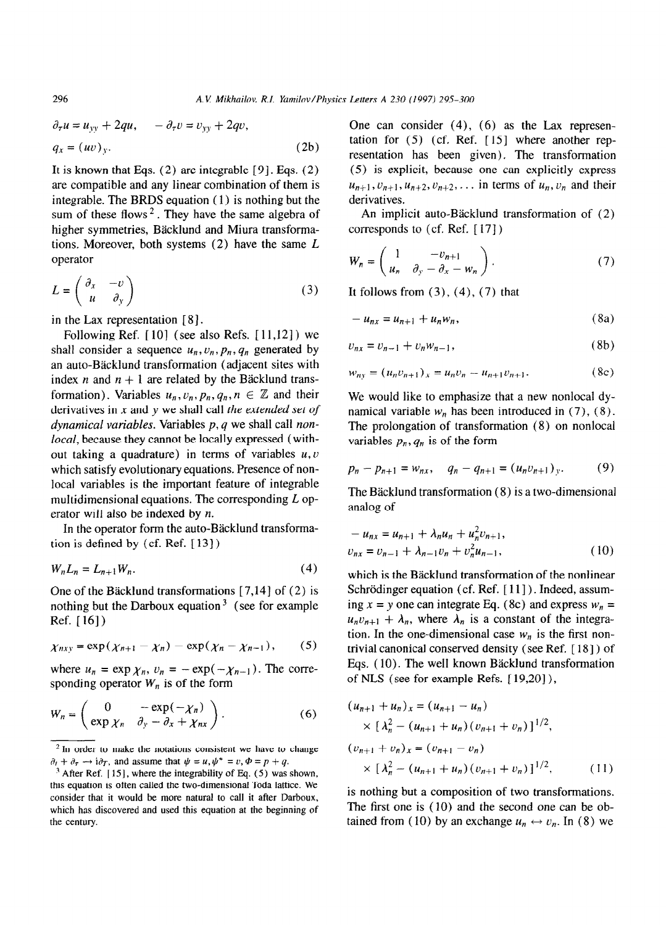$$
\partial_{\tau} u = u_{yy} + 2qu, \qquad -\partial_{\tau} v = v_{yy} + 2qv,
$$
  
\n
$$
q_x = (uv)_y.
$$
\n(2b)

It is known that Eqs.  $(2)$  are integrable  $[9]$ . Eqs.  $(2)$ are compatible and any linear combination of them is integrable. The BRDS equation ( 1) is nothing but the **sum** of these flows 2. They have the same algebra of higher symmetries, Bäcklund and Miura transformations. Moreover, both systems  $(2)$  have the same  $L$ operator

$$
L = \begin{pmatrix} \partial_x & -v \\ u & \partial_y \end{pmatrix} \tag{3}
$$

in the Lax representation  $[8]$ .

Following Ref.  $[10]$  (see also Refs.  $[11,12]$ ) we shall consider a sequence  $u_n$ ,  $v_n$ ,  $p_n$ ,  $q_n$  generated by an auto-Bäcklund transformation (adjacent sites with index n and  $n + 1$  are related by the Bäcklund transformation). Variables  $u_n, v_n, p_n, q_n, n \in \mathbb{Z}$  and their derivatives in x and y we shall call *the extended set of dynamical variables.* Variables *p*, *q* we shall call non*local,* because they cannot be locally expressed (without taking a quadrature) in terms of variables  $u, v$ which satisfy evolutionary equations. Presence of nonlocal variables is the important feature of integrable multidimensional equations. The corresponding *L* operator will also be indexed by n.

In the operator form the auto-Bäcklund transformation is defined by (cf. Ref. [ 131)

$$
W_n L_n = L_{n+1} W_n. \tag{4}
$$

One of the Bäcklund transformations  $[7,14]$  of  $(2)$  is nothing but the Darboux equation<sup>3</sup> (see for example Ref.  $[16]$ )

$$
\chi_{nxy} = \exp(\chi_{n+1} - \chi_n) - \exp(\chi_n - \chi_{n-1}), \qquad (5)
$$

where  $u_n = \exp \chi_n$ ,  $v_n = -\exp(-\chi_{n-1})$ . The corresponding operator  $W_n$  is of the form

$$
W_n = \begin{pmatrix} 0 & -\exp(-\chi_n) \\ \exp \chi_n & \partial_y - \partial_x + \chi_{nx} \end{pmatrix}.
$$
 (6)

One can consider  $(4)$ ,  $(6)$  as the Lax representation for  $(5)$  (cf. Ref. [15] where another representation has been given). The transformation (5) is explicit, because one can explicitly express  $u_{n+1}, v_{n+1}, u_{n+2}, v_{n+2}, \ldots$  in terms of  $u_n, v_n$  and their derivatives.

An implicit auto-Bäcklund transformation of  $(2)$ corresponds to (cf. Ref. [ I7 ] )

$$
W_n = \begin{pmatrix} 1 & -v_{n+1} \\ u_n & \partial_y - \partial_x - w_n \end{pmatrix}.
$$
 (7)

It follows from  $(3)$ ,  $(4)$ ,  $(7)$  that

$$
-u_{nx} = u_{n+1} + u_n w_n, \qquad (8a)
$$

$$
v_{nx} = v_{n-1} + v_n w_{n-1},
$$
 (8b)

$$
w_{ny} = (u_n v_{n+1})_x = u_n v_n - u_{n+1} v_{n+1}.
$$
 (8c)

We would like to emphasize that a new nonlocal dynamical variable  $w_n$  has been introduced in (7), (8). The prolongation of transformation  $(8)$  on nonlocal variables  $p_n, q_n$  is of the form

$$
p_n - p_{n+1} = w_{nx}, \quad q_n - q_{n+1} = (u_n v_{n+1})_y. \tag{9}
$$

The Bäcklund transformation  $(8)$  is a two-dimensional analog of

$$
-u_{nx} = u_{n+1} + \lambda_n u_n + u_n^2 v_{n+1},
$$
  

$$
v_{nx} = v_{n-1} + \lambda_{n-1} v_n + v_n^2 u_{n-1},
$$
 (10)

which is the Bäcklund transformation of the nonlinear Schrödinger equation (cf. Ref. [11]). Indeed, assuming  $x = y$  one can integrate Eq. (8c) and express  $w_n =$  $u_n v_{n+1} + \lambda_n$ , where  $\lambda_n$  is a constant of the integration. In the one-dimensional case  $w_n$  is the first nontrivial canonical conserved density (see Ref. [ 181) of Eqs. (10). The well known Bäcklund transformation of NLS (see for example Refs.  $[19,20]$ ),

$$
(u_{n+1} + u_n)_x = (u_{n+1} - u_n)
$$
  
\n
$$
\times [\lambda_n^2 - (u_{n+1} + u_n)(v_{n+1} + v_n)]^{1/2},
$$
  
\n
$$
(v_{n+1} + v_n)_x = (v_{n+1} - v_n)
$$
  
\n
$$
\times [\lambda_n^2 - (u_{n+1} + u_n)(v_{n+1} + v_n)]^{1/2},
$$
\n(11)

is nothing but a composition of two transformations. The first one is ( 10) and the second one can be obtained from (10) by an exchange  $u_n \leftrightarrow v_n$ . In (8) we

296

<sup>&</sup>lt;sup>2</sup> In order to make the notations consistent we have to change  $\partial_t + \partial_\tau \rightarrow i \partial_\tau$ , and assume that  $\psi = u, \psi^* = v, \Phi = p + q$ .

<sup>&</sup>lt;sup>1</sup> After Ref. [15], where the integrability of Eq. (5) was shown, this equation is often called the two-dimensjona1 Toda lattice. We consider that it would be more natura1 to call it after Darboux, which has discovered and used this equation at the beginning of the century.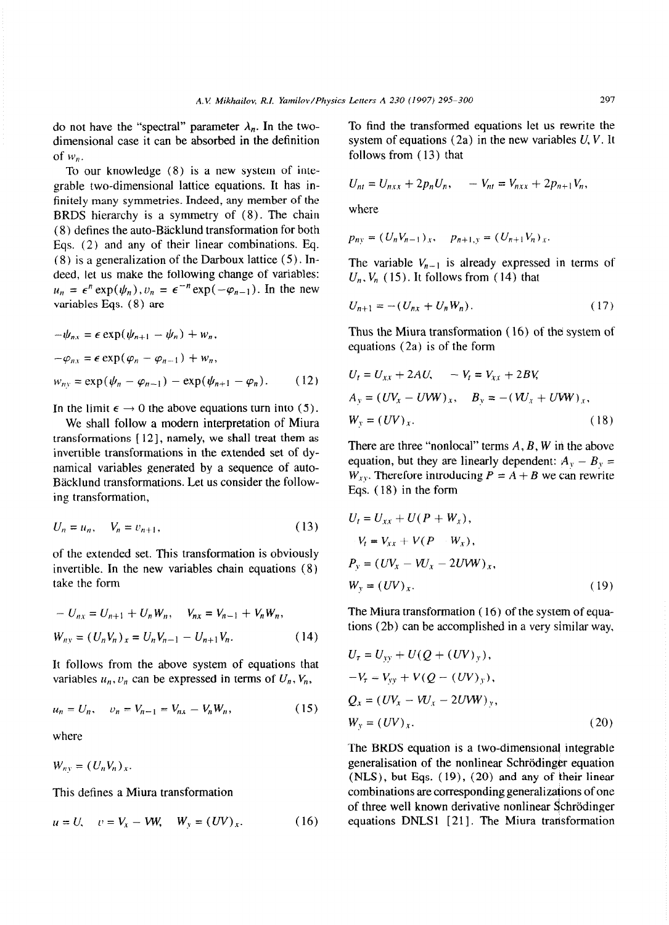dimensional case it can be absorbed in the definition system of equations (2a) in the new variables U, *V.* It of  $w_n$ , follows from (13) that

To our knowledge (8) is a new system of integrable two-dimensional lattice equations. It has infinitely many symmetries. Indeed, any member of the BRDS hierarchy is a symmetry of (8). The chain (8) defines the auto-Bäcklund transformation for both Eqs. (2) and any of their linear combinations. Eq. (8) is a generalization of the Darboux lattice (5). Indeed, let us make the following change of variables:  $u_n = \epsilon^n \exp(\psi_n)$ ,  $v_n = \epsilon^{-n} \exp(-\varphi_{n-1})$ . In the new variables Eqs. (8) are

$$
-\psi_{nx} = \epsilon \exp(\psi_{n+1} - \psi_n) + w_n,
$$
  
\n
$$
-\varphi_{nx} = \epsilon \exp(\varphi_n - \varphi_{n-1}) + w_n,
$$
  
\n
$$
w_{ny} = \exp(\psi_n - \varphi_{n-1}) - \exp(\psi_{n+1} - \varphi_n).
$$
 (12)

In the limit  $\epsilon \to 0$  the above equations turn into (5).

We shall follow a modern interpretation of Miura transformations  $[12]$ , namely, we shall treat them as invertible transformations in the extended set of dynamical variables generated by a sequence of auto-Backlund transformations. Let us consider the following transformation,

$$
U_n = u_n, \quad V_n = v_{n+1}, \tag{13}
$$

of the extended set. This transformation is obviously invertible. In the new variables chain equations (8) take the form

$$
-U_{nx} = U_{n+1} + U_n W_n, \quad V_{nx} = V_{n-1} + V_n W_n,
$$
  

$$
W_{ny} = (U_n V_n)_x = U_n V_{n-1} - U_{n+1} V_n.
$$
 (14)

It follows from the above system of equations that variables  $u_n, v_n$  can be expressed in terms of  $U_n, V_n$ ,

$$
u_n = U_n, \quad v_n = V_{n-1} = V_{nx} - V_n W_n, \tag{15}
$$

where

 $W_{ny} = (U_n V_n)_x.$ 

This defines a Miura transformation

$$
u = U
$$
,  $v = V_x - VW$ ,  $W_y = (UV)_x$ . (16)

do not have the "spectral" parameter  $\lambda_n$ . In the two- To find the transformed equations let us rewrite the

$$
U_{nt} = U_{nxx} + 2p_n U_n, \qquad -V_{nt} = V_{nxx} + 2p_{n+1} V_n,
$$

where

$$
p_{ny} = (U_n V_{n-1})_x, \quad p_{n+1,y} = (U_{n+1} V_n)_x.
$$

The variable  $V_{n-1}$  is already expressed in terms of  $U_n$ ,  $V_n$  (15). It follows from (14) that

$$
U_{n+1} = -(U_{nx} + U_n W_n). \tag{17}
$$

Thus the Miura transformation ( 16) of the system of equations (2a) is of the form

$$
U_t = U_{xx} + 2AU, \t -V_t = V_{xx} + 2BV,
$$
  
\n
$$
A_y = (UV_x - UWW)_x, \t B_y = -(W_x + UWW)_x,
$$
  
\n
$$
W_y = (UV)_x.
$$
 (18)

There are three "nonlocal" terms *A, B, W* in the above equation, but they are linearly dependent:  $A_y - B_y =$  $W_{XY}$ . Therefore introducing  $P = A + B$  we can rewrite Eqs. ( 18) in the form

$$
U_t = U_{xx} + U(P + W_x),
$$
  
\n
$$
-V_t = V_{xx} + V(P - W_x),
$$
  
\n
$$
P_y = (UV_x - VU_x - 2UVW)_x,
$$
  
\n
$$
W_y = (UV)_x.
$$
 (19)

The Miura transformation ( 16) of the system of equations (Zb) can be accomplished in a very similar way,

$$
U_{\tau} = U_{yy} + U(Q + (UV)_{y}),
$$
  
\n
$$
-V_{\tau} = V_{yy} + V(Q - (UV)_{y}),
$$
  
\n
$$
Q_{x} = (UV_{x} - VU_{x} - 2UWW)_{y},
$$
  
\n
$$
W_{y} = (UV)_{x}.
$$
\n(20)

The BRDS equation is a two-dimensional integrable generalisation of the nonlinear Schrödinger equation  $(NLS)$ , but Eqs.  $(19)$ ,  $(20)$  and any of their linear combinations are corresponding generalizations of one of three well known derivative nonlinear Schrödinger equations DNLS1 [21]. The Miura transformation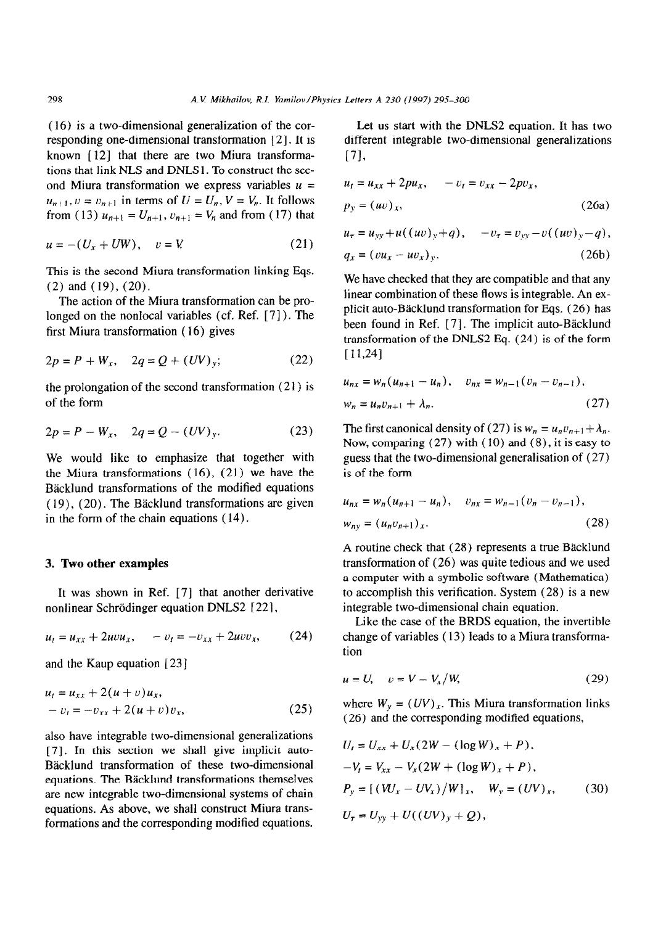(16) is a two-dimensional generalization of the corresponding one-dimensional transformation [2]. It is known [12] that there are two Miura transformations that link NLS and **DNLSl .** To construct the second Miura transformation we express variables  $u =$  $u_{n+1}$ ,  $v = v_{n+1}$  in terms of  $U = U_n$ ,  $V = V_n$ . It follows from (13)  $u_{n+1} = U_{n+1}$ ,  $v_{n+1} = V_n$  and from (17) that

$$
u = -(U_x + UW), \quad v = V \tag{21}
$$

This is the second Miura transformation linking Eqs.  $(2)$  and  $(19)$ ,  $(20)$ .

The action of the Miura transformation can be prolonged on the nonlocal variables (cf. Ref. [7]). The first Miura transformation ( 16) gives

$$
2p = P + W_x, \quad 2q = Q + (UV)_y; \tag{22}
$$

the prolongation of the second transformation (21) is of the form

$$
2p = P - W_x, \quad 2q = Q - (UV)_y. \tag{23}
$$

We would like to emphasize that together with the Miura transformations ( 16), (21) we have the Backlund transformations of the modified equations ( 19), (20). The Backlund transformations are given in the form of the chain equations ( 14).

## 3. Two **other examples**

It was shown in Ref. [7] that another derivative nonlinear Schrödinger equation DNLS2 [22],

$$
u_t = u_{xx} + 2uvw_x, \quad -v_t = -v_{xx} + 2uvw_x, \quad (24)
$$

and the Kaup equation [23]

$$
u_t = u_{xx} + 2(u+v)u_x,-v_t = -v_{xx} + 2(u+v)v_x,
$$
 (25)

also have integrabie two-dimensional generalizations [7]. In this section we shall give implicit auto-Bäcklund transformation of these two-dimensional equations. The Bäcklund transformations themselves are new integrable two-dimensional systems of chain equations. As above, we shall construct Miura transformations and the corresponding modified equations.

Let us start with the DNLS2 equation. It has two different integrable two-dimensional generalizations [71,

$$
u_t = u_{xx} + 2pu_x, \t -v_t = v_{xx} - 2pv_x, p_y = (uv)_x,
$$
\t(26a)

$$
u_{\tau} = u_{yy} + u((uv)_{y} + q), \quad -v_{\tau} = v_{yy} - v((uv)_{y} - q),
$$
  
\n
$$
q_{x} = (vu_{x} - uv_{x})_{y}.
$$
\n(26b)

We have checked that they are compatible and that any linear combination of these flows is integrable. An explicit auto-Bäcklund transformation for Eqs. (26) has been found in Ref. [7]. The implicit auto-Bäcklund transformation of the DNLS2 Eq. (24) is of the form **[11,241** 

$$
u_{nx} = w_n (u_{n+1} - u_n), \quad v_{nx} = w_{n-1} (v_n - v_{n-1}),
$$
  

$$
w_n = u_n v_{n+1} + \lambda_n.
$$
 (27)

The first canonical density of (27) is  $w_n = u_n v_{n+1} + \lambda_n$ . Now, comparing  $(27)$  with  $(10)$  and  $(8)$ , it is easy to guess that the two-dimensional generalisation of (27) is of the form

$$
u_{nx} = w_n (u_{n+1} - u_n), \quad v_{nx} = w_{n-1} (v_n - v_{n-1}),
$$
  
\n
$$
w_{ny} = (u_n v_{n+1})_x.
$$
\n(28)

A routine check that (28) represents a true Backlund transformation of (26) was quite tedious and we used a computer with a symbolic software (Mathematica) to accomplish this verification. System  $(28)$  is a new integrable two-dimensional chain equation.

Like the case of the BRDS equation, the invertible change of variables ( 13) leads to a Miura transformation

$$
u = U, \quad v = V - V_x/W,
$$
\n(29)

where  $W_y = (UV)_x$ . This Miura transformation links (26) and the corresponding modified equations,

$$
U_t = U_{xx} + U_x (2W - (\log W)_x + P),
$$
  
-V\_t = V\_{xx} - V\_x (2W + (\log W)\_x + P),  

$$
P_y = [(W_x - UV_x)/W]_x, \quad W_y = (UV)_x,
$$
 (30)  

$$
U_\tau = U_{yy} + U((UV)_y + Q),
$$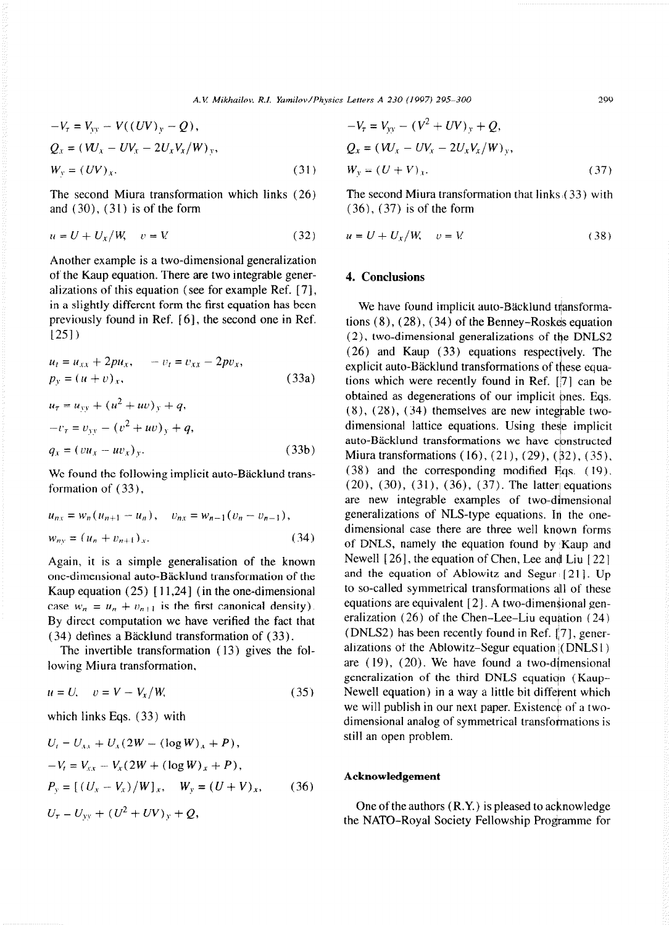$$
-V_{\tau} = V_{yy} - V((UV)_{y} - Q),
$$
  
\n
$$
Q_{x} = (W_{x} - UV_{x} - 2U_{x}V_{x}/W)_{y},
$$
  
\n
$$
W_{y} = (UV)_{x}.
$$
\n(31)

The second Miura transformation which links  $(26)$ and  $(30)$ ,  $(31)$  is of the form

$$
u = U + U_x/W, \quad v = V \tag{32}
$$

Another example is a two-dimensional generalization of the Kaup equation. There are two integrable generalizations of this equation (see for example Ref. [ 71, in a slightly different form the first equation has been previously found in Ref. [6], the second one in Ref. /251)

$$
u_{t} = u_{xx} + 2pu_{x}, \t -v_{t} = v_{xx} - 2pv_{x},
$$
  
\n
$$
p_{y} = (u + v)_{x}, \t (33a)
$$
  
\n
$$
u_{\tau} = u_{yy} + (u^{2} + uv)_{y} + q,
$$

$$
-v_{\tau} = v_{yy} - (v^2 + uv)_y + q,
$$
  
\n
$$
q_x = (vu_x - uv_x)_y.
$$
\n(33b)

We found the following implicit auto-Bäcklund transformation of  $(33)$ ,

$$
u_{nx} = w_n (u_{n+1} - u_n), \quad v_{nx} = w_{n-1} (v_n - v_{n-1}),
$$
  

$$
w_{ny} = (u_n + v_{n+1})_x.
$$
 (34)

Again, it is a simple generalisation of the known one-dimensional auto-Bäcklund transformation of the Kaup equation  $(25)$  [11,24] (in the one-dimensional case  $w_n = u_n + v_{n+1}$  is the first canonical density). By direct computation we have verified the fact that  $(34)$  defines a Bäcklund transformation of  $(33)$ .

The invertible transformation ( 13) gives the following Miura transformation,

$$
u = U, \quad v = V - V_x/W,\tag{35}
$$

which links Eqs. (33) with

$$
U_t = U_{xx} + U_x (2W - (\log W)_x + P),
$$
  
\n
$$
-V_t = V_{xx} - V_x (2W + (\log W)_x + P),
$$
  
\n
$$
P_y = [(U_x - V_x)/W]_x, \quad W_y = (U + V)_x,
$$
 (36)  
\n
$$
U_\tau = U_{yy} + (U^2 + UV)_y + Q,
$$

$$
-V_{\tau} = V_{yy} - (V^2 + UV)_y + Q,
$$
  
\n
$$
Q_x = (W_x - UV_x - 2U_xV_x/W)_y,
$$
  
\n
$$
W_y = (U + V)_x.
$$
\n(37)

The second Miura transformation that links  $(33)$  with (36), (37) is of the form

$$
u = U + U_x/W, \quad v = V \tag{38}
$$

# 4. **Conclusions**

We have found implicit auto-Bäcklund transformations  $(8)$ ,  $(28)$ ,  $(34)$  of the Benney-Roskes equation (2), two-dimensional generalizations of the DNLS2 (26) and Kaup (33) equations respectjvely. The explicit auto-Bäcklund transformations of these equations which were recently found in Ref. [j7] can be obtained as degenerations of our implicit ones. Eqs.  $(8)$ ,  $(28)$ ,  $(34)$  themselves are new integrable twodimensional lattice equations. Using these implicit auto-Bäcklund transformations we have constructed Miura transformations  $(16)$ ,  $(21)$ ,  $(29)$ ,  $(\frac{1}{2})$ ,  $(35)$ ,  $(38)$  and the corresponding modified Eqs.  $(19)$ .  $(20)$ ,  $(30)$ ,  $(31)$ ,  $(36)$ ,  $(37)$ . The latter equations are new integrable examples of two-dimensional generalizations of NLS-type equations. In the onedimensional case there are three well known **forms**  of DNLS, namely the equation found by Kaup and Newell  $[26]$ , the equation of Chen, Lee and Liu  $[22]$ and the equation of Ablowitz and Segur  $[21]$ . Up to so-called symmetrical transformations all of these equations are equivalent  $[2]$ . A two-dimensional generalization  $(26)$  of the Chen-Lee-Liu equation  $(24)$ (DNLS2) has been recently found in Ref. [7], generalizations of the Ablowitz-Segur equation (DNLS1) are  $(19)$ ,  $(20)$ . We have found a two-dimensional generalization of the third DNLS equation (Kaup-Newell equation) in a way a little bit different which we will publish in our next paper. Existence of a twodimensional analog of symmetrical transformations is still an open problem.

#### **Acknowledgement**

One of the authors (R.Y.) is pleased to acknowledge the NATO-Royal Society Fellowship Programme for